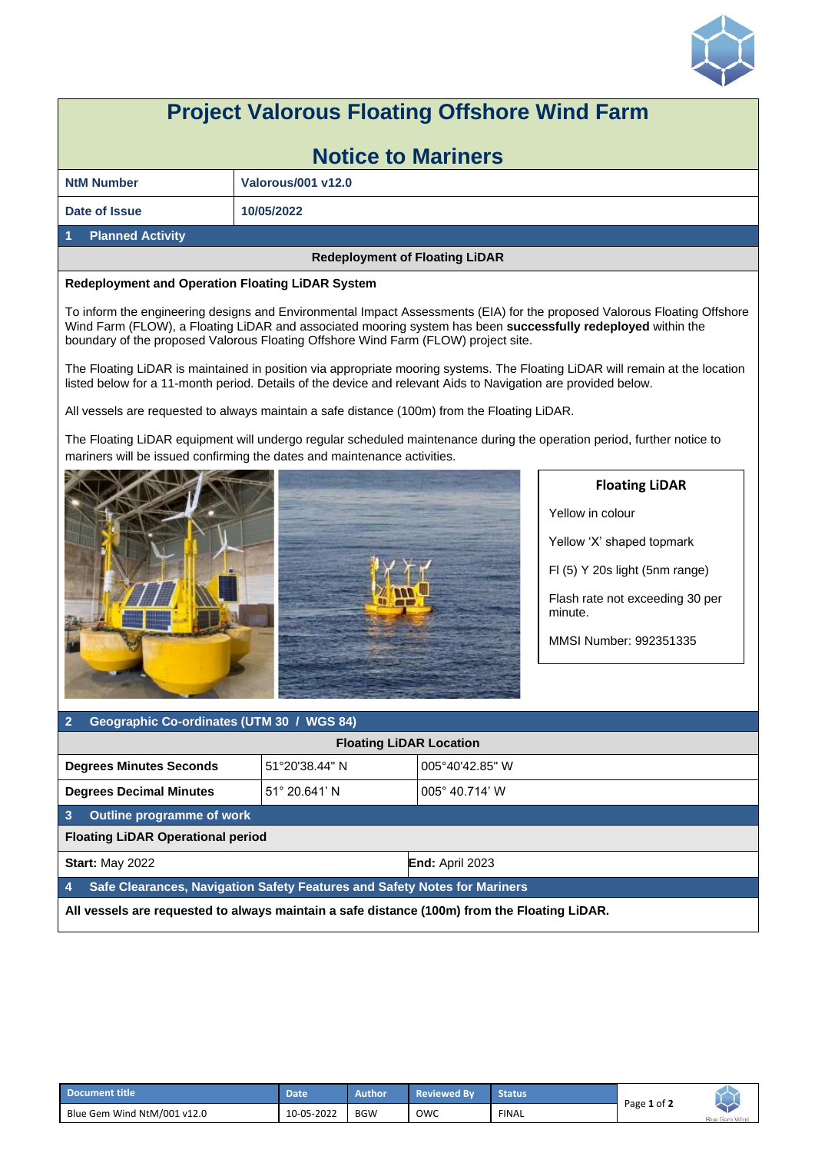

## **Project Valorous Floating Offshore Wind Farm**

| <b>Notice to Mariners</b> |                           |  |  |  |  |
|---------------------------|---------------------------|--|--|--|--|
| <b>NtM Number</b>         | <b>Valorous/001 v12.0</b> |  |  |  |  |
| Date of Issue             | 10/05/2022                |  |  |  |  |
| <b>Planned Activity</b>   |                           |  |  |  |  |

## **Redeployment of Floating LiDAR**

## **Redeployment and Operation Floating LiDAR System**

To inform the engineering designs and Environmental Impact Assessments (EIA) for the proposed Valorous Floating Offshore Wind Farm (FLOW), a Floating LiDAR and associated mooring system has been **successfully redeployed** within the boundary of the proposed Valorous Floating Offshore Wind Farm (FLOW) project site.

The Floating LiDAR is maintained in position via appropriate mooring systems. The Floating LiDAR will remain at the location listed below for a 11-month period. Details of the device and relevant Aids to Navigation are provided below.

All vessels are requested to always maintain a safe distance (100m) from the Floating LiDAR.

The Floating LiDAR equipment will undergo regular scheduled maintenance during the operation period, further notice to mariners will be issued confirming the dates and maintenance activities.



## **Floating LiDAR**

Yellow in colour

Yellow 'X' shaped topmark

Fl (5) Y 20s light (5nm range)

Flash rate not exceeding 30 per minute.

MMSI Number: 992351335

| $\sqrt{2}$<br>Geographic Co-ordinates (UTM 30 / WGS 84)                                      |  |                        |  |  |  |  |
|----------------------------------------------------------------------------------------------|--|------------------------|--|--|--|--|
| <b>Floating LiDAR Location</b>                                                               |  |                        |  |  |  |  |
| 51°20'38.44" N<br><b>Degrees Minutes Seconds</b>                                             |  | 005°40'42.85" W        |  |  |  |  |
| $51^{\circ}$ 20.641' N<br><b>Degrees Decimal Minutes</b>                                     |  | 005° 40.714' W         |  |  |  |  |
| $\overline{3}$<br>Outline programme of work                                                  |  |                        |  |  |  |  |
| <b>Floating LiDAR Operational period</b>                                                     |  |                        |  |  |  |  |
| <b>Start: May 2022</b>                                                                       |  | <b>End: April 2023</b> |  |  |  |  |
| Safe Clearances, Navigation Safety Features and Safety Notes for Mariners<br>$\overline{4}$  |  |                        |  |  |  |  |
| All vessels are requested to always maintain a safe distance (100m) from the Floating LiDAR. |  |                        |  |  |  |  |

| Document title              | Date       | Author     | <b>Reviewed By</b> | <b>Status</b> |             |                      |
|-----------------------------|------------|------------|--------------------|---------------|-------------|----------------------|
| Blue Gem Wind NtM/001 v12.0 | 10-05-2022 | <b>BGW</b> | owc                | <b>FINAL</b>  | Page 1 of 2 | <b>Blue Gem Wind</b> |